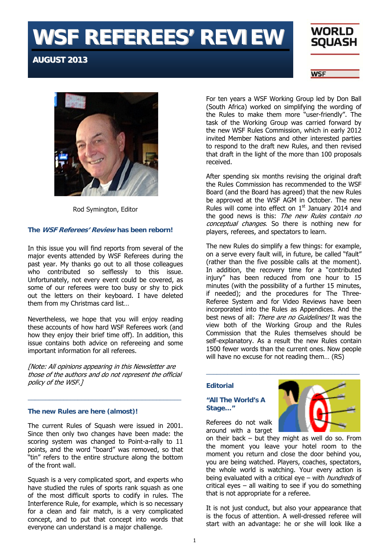# **WSF REFEREES' REVIEW**

# **AUGUST 2013**





Rod Symington, Editor

# **The WSF Referees' Review has been reborn!**

In this issue you will find reports from several of the major events attended by WSF Referees during the past year. My thanks go out to all those colleagues who contributed so selflessly to this issue. Unfortunately, not every event could be covered, as some of our referees were too busy or shy to pick out the letters on their keyboard. I have deleted them from my Christmas card list…

Nevertheless, we hope that you will enjoy reading these accounts of how hard WSF Referees work (and how they enjoy their brief time off). In addition, this issue contains both advice on refereeing and some important information for all referees.

[Note: All opinions appearing in this Newsletter are those of the authors and do not represent the official policy of the WSF.]

\_\_\_\_\_\_\_\_\_\_\_\_\_\_\_\_\_\_\_\_\_\_\_\_\_\_\_\_\_\_\_\_\_\_\_\_\_\_\_\_\_\_\_

# **The new Rules are here (almost)!**

The current Rules of Squash were issued in 2001. Since then only two changes have been made: the scoring system was changed to Point-a-rally to 11 points, and the word "board" was removed, so that "tin" refers to the entire structure along the bottom of the front wall.

Squash is a very complicated sport, and experts who have studied the rules of sports rank squash as one of the most difficult sports to codify in rules. The Interference Rule, for example, which is so necessary for a clean and fair match, is a very complicated concept, and to put that concept into words that everyone can understand is a major challenge.

For ten years a WSF Working Group led by Don Ball (South Africa) worked on simplifying the wording of the Rules to make them more "user-friendly". The task of the Working Group was carried forward by the new WSF Rules Commission, which in early 2012 invited Member Nations and other interested parties to respond to the draft new Rules, and then revised that draft in the light of the more than 100 proposals received.

After spending six months revising the original draft the Rules Commission has recommended to the WSF Board (and the Board has agreed) that the new Rules be approved at the WSF AGM in October. The new Rules will come into effect on  $1<sup>st</sup>$  January 2014 and the good news is this: The new Rules contain no conceptual changes. So there is nothing new for players, referees, and spectators to learn.

The new Rules do simplify a few things: for example, on a serve every fault will, in future, be called "fault" (rather than the five possible calls at the moment). In addition, the recovery time for a "contributed injury" has been reduced from one hour to 15 minutes (with the possibility of a further 15 minutes, if needed); and the procedures for The Three-Referee System and for Video Reviews have been incorporated into the Rules as Appendices. And the best news of all: There are no Guidelines! It was the view both of the Working Group and the Rules Commission that the Rules themselves should be self-explanatory. As a result the new Rules contain 1500 fewer words than the current ones. Now people will have no excuse for not reading them… (RS)

# **Editorial**

# **"All The World's A Stage…"**



Referees do not walk around with a target

on their back – but they might as well do so. From the moment you leave your hotel room to the moment you return and close the door behind you, you are being watched. Players, coaches, spectators, the whole world is watching. Your every action is being evaluated with a critical eye – with *hundreds* of critical eyes – all waiting to see if you do something that is not appropriate for a referee.

It is not just conduct, but also your appearance that is the focus of attention. A well-dressed referee will start with an advantage: he or she will look like a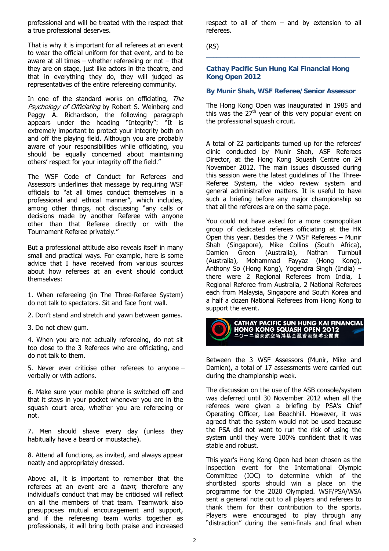professional and will be treated with the respect that a true professional deserves.

That is why it is important for all referees at an event to wear the official uniform for that event, and to be aware at all times – whether refereeing or not – that they are on stage, just like actors in the theatre, and that in everything they do, they will judged as representatives of the entire refereeing community.

In one of the standard works on officiating, The Psychology of Officiating by Robert S. Weinberg and Peggy A. Richardson, the following paragraph appears under the heading "Integrity": "It is extremely important to protect your integrity both on and off the playing field. Although you are probably aware of your responsibilities while officiating, you should be equally concerned about maintaining others' respect for your integrity off the field."

The WSF Code of Conduct for Referees and Assessors underlines that message by requiring WSF officials to "at all times conduct themselves in a professional and ethical manner", which includes, among other things, not discussing "any calls or decisions made by another Referee with anyone other than that Referee directly or with the Tournament Referee privately."

But a professional attitude also reveals itself in many small and practical ways. For example, here is some advice that I have received from various sources about how referees at an event should conduct themselves:

1. When refereeing (in The Three-Referee System) do not talk to spectators. Sit and face front wall.

- 2. Don't stand and stretch and yawn between games.
- 3. Do not chew gum.

4. When you are not actually refereeing, do not sit too close to the 3 Referees who are officiating, and do not talk to them.

5. Never ever criticise other referees to anyone – verbally or with actions.

6. Make sure your mobile phone is switched off and that it stays in your pocket whenever you are in the squash court area, whether you are refereeing or not.

7. Men should shave every day (unless they habitually have a beard or moustache).

8. Attend all functions, as invited, and always appear neatly and appropriately dressed.

Above all, it is important to remember that the referees at an event are a *team*; therefore any individual's conduct that may be criticised will reflect on all the members of that team. Teamwork also presupposes mutual encouragement and support, and if the refereeing team works together as professionals, it will bring both praise and increased

respect to all of them – and by extension to all referees.

\_\_\_\_\_\_\_\_\_\_\_\_\_\_\_\_\_\_\_\_\_\_\_\_\_\_\_\_\_\_\_\_\_\_\_\_\_\_\_\_\_\_\_

(RS)

#### **Cathay Pacific Sun Hung Kai Financial Hong Kong Open 2012**

#### **By Munir Shah, WSF Referee/Senior Assessor**

The Hong Kong Open was inaugurated in 1985 and this was the  $27<sup>th</sup>$  year of this very popular event on the professional squash circuit.

A total of 22 participants turned up for the referees' clinic conducted by Munir Shah, ASF Referees Director, at the Hong Kong Squash Centre on 24 November 2012. The main issues discussed during this session were the latest guidelines of The Three-Referee System, the video review system and general administrative matters. It is useful to have such a briefing before any major championship so that all the referees are on the same page.

You could not have asked for a more cosmopolitan group of dedicated referees officiating at the HK Open this year. Besides the 7 WSF Referees – Munir Shah (Singapore), Mike Collins (South Africa), Damien Green (Australia), Nathan Turnbull (Australia), Mohammad Fayyaz (Hong Kong), Anthony So (Hong Kong), Yogendra Singh (India) – there were 2 Regional Referees from India, 1 Regional Referee from Australia, 2 National Referees each from Malaysia, Singapore and South Korea and a half a dozen National Referees from Hong Kong to support the event.



Between the 3 WSF Assessors (Munir, Mike and Damien), a total of 17 assessments were carried out during the championship week.

The discussion on the use of the ASB console/system was deferred until 30 November 2012 when all the referees were given a briefing by PSA's Chief Operating Officer, Lee Beachhill. However, it was agreed that the system would not be used because the PSA did not want to run the risk of using the system until they were 100% confident that it was stable and robust.

This year's Hong Kong Open had been chosen as the inspection event for the International Olympic Committee (IOC) to determine which of the shortlisted sports should win a place on the programme for the 2020 Olympiad. WSF/PSA/WSA sent a general note out to all players and referees to thank them for their contribution to the sports. Players were encouraged to play through any "distraction" during the semi-finals and final when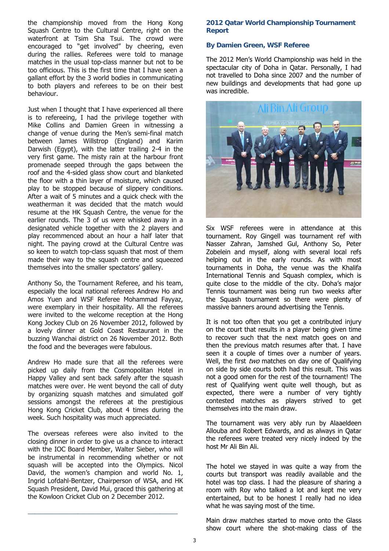the championship moved from the Hong Kong Squash Centre to the Cultural Centre, right on the waterfront at Tsim Sha Tsui. The crowd were encouraged to "get involved" by cheering, even during the rallies. Referees were told to manage matches in the usual top-class manner but not to be too officious. This is the first time that I have seen a gallant effort by the 3 world bodies in communicating to both players and referees to be on their best behaviour.

Just when I thought that I have experienced all there is to refereeing, I had the privilege together with Mike Collins and Damien Green in witnessing a change of venue during the Men's semi-final match between James Willstrop (England) and Karim Darwish (Egypt), with the latter trailing 2-4 in the very first game. The misty rain at the harbour front promenade seeped through the gaps between the roof and the 4-sided glass show court and blanketed the floor with a thin layer of moisture, which caused play to be stopped because of slippery conditions. After a wait of 5 minutes and a quick check with the weatherman it was decided that the match would resume at the HK Squash Centre, the venue for the earlier rounds. The 3 of us were whisked away in a designated vehicle together with the 2 players and play recommenced about an hour a half later that night. The paying crowd at the Cultural Centre was so keen to watch top-class squash that most of them made their way to the squash centre and squeezed themselves into the smaller spectators' gallery.

Anthony So, the Tournament Referee, and his team, especially the local national referees Andrew Ho and Amos Yuen and WSF Referee Mohammad Fayyaz, were exemplary in their hospitality. All the referees were invited to the welcome reception at the Hong Kong Jockey Club on 26 November 2012, followed by a lovely dinner at Gold Coast Restaurant in the buzzing Wanchai district on 26 November 2012. Both the food and the beverages were fabulous.

Andrew Ho made sure that all the referees were picked up daily from the Cosmopolitan Hotel in Happy Valley and sent back safely after the squash matches were over. He went beyond the call of duty by organizing squash matches and simulated golf sessions amongst the referees at the prestigious Hong Kong Cricket Club, about 4 times during the week. Such hospitality was much appreciated.

The overseas referees were also invited to the closing dinner in order to give us a chance to interact with the IOC Board Member, Walter Sieber, who will be instrumental in recommending whether or not squash will be accepted into the Olympics. Nicol David, the women's champion and world No. 1, Ingrid Lofdahl-Bentzer, Chairperson of WSA, and HK Squash President, David Mui, graced this gathering at the Kowloon Cricket Club on 2 December 2012.

\_\_\_\_\_\_\_\_\_\_\_\_\_\_\_\_\_\_\_\_\_\_\_\_\_\_\_\_\_\_\_\_\_\_\_\_\_\_\_\_\_\_

# **2012 Qatar World Championship Tournament Report**

# **By Damien Green, WSF Referee**

The 2012 Men's World Championship was held in the spectacular city of Doha in Qatar. Personally, I had not travelled to Doha since 2007 and the number of new buildings and developments that had gone up was incredible.



Six WSF referees were in attendance at this tournament. Roy Gingell was tournament ref with Nasser Zahran, Jamshed Gul, Anthony So, Peter Zobelein and myself, along with several local refs helping out in the early rounds. As with most tournaments in Doha, the venue was the Khalifa International Tennis and Squash complex, which is quite close to the middle of the city. Doha's major Tennis tournament was being run two weeks after the Squash tournament so there were plenty of massive banners around advertising the Tennis.

It is not too often that you get a contributed injury on the court that results in a player being given time to recover such that the next match goes on and then the previous match resumes after that. I have seen it a couple of times over a number of years. Well, the first two matches on day one of Qualifying on side by side courts both had this result. This was not a good omen for the rest of the tournament! The rest of Qualifying went quite well though, but as expected, there were a number of very tightly contested matches as players strived to get themselves into the main draw.

The tournament was very ably run by Alaaeldeen Allouba and Robert Edwards, and as always in Qatar the referees were treated very nicely indeed by the host Mr Ali Bin Ali.

The hotel we stayed in was quite a way from the courts but transport was readily available and the hotel was top class. I had the pleasure of sharing a room with Roy who talked a lot and kept me very entertained, but to be honest I really had no idea what he was saying most of the time.

Main draw matches started to move onto the Glass show court where the shot-making class of the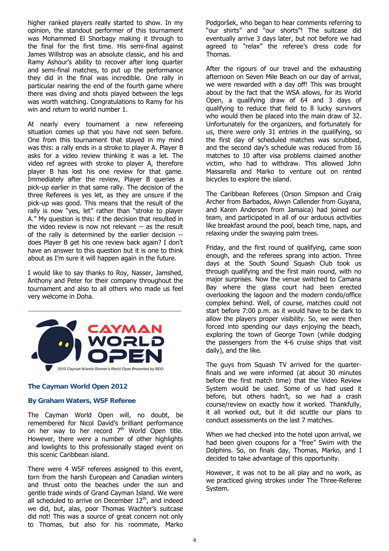higher ranked players really started to show. In my opinion, the standout performer of this tournament was Mohammed El Shorbagy making it through to the final for the first time. His semi-final against James Willstrop was an absolute classic, and his and Ramy Ashour's ability to recover after long quarter and semi-final matches, to put up the performance they did in the final was incredible. One rally in particular nearing the end of the fourth game where there was diving and shots played between the legs was worth watching. Congratulations to Ramy for his win and return to world number 1.

At nearly every tournament a new refereeing situation comes up that you have not seen before. One from this tournament that stayed in my mind was this: a rally ends in a stroke to player A. Player B asks for a video review thinking it was a let. The video ref agrees with stroke to player A, therefore player B has lost his one review for that game. Immediately after the review, Player B queries a pick-up earlier in that same rally. The decision of the three Referees is yes let, as they are unsure if the pick-up was good. This means that the result of the rally is now "yes, let" rather than "stroke to player A." My question is this: if the decision that resulted in the video review is now not relevant -- as the result of the rally is determined by the earlier decision - does Player B get his one review back again? I don't have an answer to this question but it is one to think about as I'm sure it will happen again in the future.

I would like to say thanks to Roy, Nasser, Jamshed, Anthony and Peter for their company throughout the tournament and also to all others who made us feel very welcome in Doha.



# **The Cayman World Open 2012**

# **By Graham Waters, WSF Referee**

The Cayman World Open will, no doubt, be remembered for Nicol David's brilliant performance on her way to her record  $7<sup>th</sup>$  World Open title. However, there were a number of other highlights and lowlights to this professionally staged event on this scenic Caribbean island.

There were 4 WSF referees assigned to this event, torn from the harsh European and Canadian winters and thrust onto the beaches under the sun and gentle trade winds of Grand Cayman Island. We were all scheduled to arrive on December  $12<sup>th</sup>$ , and indeed we did, but, alas, poor Thomas Wachter's suitcase did not! This was a source of great concern not only to Thomas, but also for his roommate, Marko

Podgoršek, who began to hear comments referring to "our shirts" and "our shorts"! The suitcase did eventually arrive 3 days later, but not before we had agreed to "relax" the referee's dress code for Thomas.

After the rigours of our travel and the exhausting afternoon on Seven Mile Beach on our day of arrival, we were rewarded with a day off! This was brought about by the fact that the WSA allows, for its World Open, a qualifying draw of 64 and 3 days of qualifying to reduce that field to 8 lucky survivors who would then be placed into the main draw of 32. Unfortunately for the organizers, and fortunately for us, there were only 31 entries in the qualifying, so the first day of scheduled matches was scrubbed, and the second day's schedule was reduced from 16 matches to 10 after visa problems claimed another victim, who had to withdraw. This allowed John Massarella and Marko to venture out on rented bicycles to explore the island.

The Caribbean Referees (Orson Simpson and Craig Archer from Barbados, Alwyn Callender from Guyana, and Karen Anderson from Jamaica) had joined our team, and participated in all of our arduous activities like breakfast around the pool, beach time, naps, and relaxing under the swaying palm trees.

Friday, and the first round of qualifying, came soon enough, and the referees sprang into action. Three days at the South Sound Squash Club took us through qualifying and the first main round, with no major surprises. Now the venue switched to Camana Bay where the glass court had been erected overlooking the lagoon and the modern condo/office complex behind. Well, of course, matches could not start before 7:00 p.m. as it would have to be dark to allow the players proper visibility. So, we were then forced into spending our days enjoying the beach, exploring the town of George Town (while dodging the passengers from the 4-6 cruise ships that visit daily), and the like.

The guys from Squash TV arrived for the quarterfinals and we were informed (at about 30 minutes before the first match time) that the Video Review System would be used. Some of us had used it before, but others hadn't, so we had a crash course/review on exactly how it worked. Thankfully, it all worked out, but it did scuttle our plans to conduct assessments on the last 7 matches.

When we had checked into the hotel upon arrival, we had been given coupons for a "free" Swim with the Dolphins. So, on finals day, Thomas, Marko, and I decided to take advantage of this opportunity.

However, it was not to be all play and no work, as we practiced giving strokes under The Three-Referee System.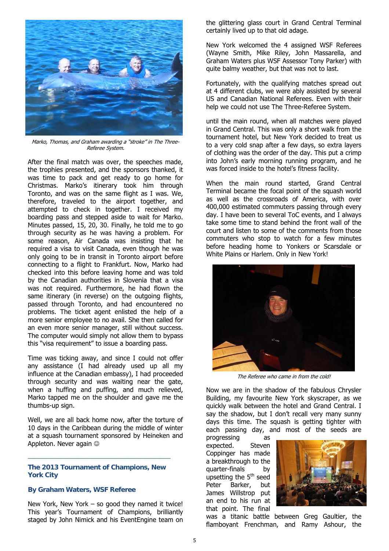

Marko, Thomas, and Graham awarding a "stroke" in The Three-Referee System.

After the final match was over, the speeches made, the trophies presented, and the sponsors thanked, it was time to pack and get ready to go home for Christmas. Marko's itinerary took him through Toronto, and was on the same flight as I was. We, therefore, traveled to the airport together, and attempted to check in together. I received my boarding pass and stepped aside to wait for Marko. Minutes passed, 15, 20, 30. Finally, he told me to go through security as he was having a problem. For some reason, Air Canada was insisting that he required a visa to visit Canada, even though he was only going to be in transit in Toronto airport before connecting to a flight to Frankfurt. Now, Marko had checked into this before leaving home and was told by the Canadian authorities in Slovenia that a visa was not required. Furthermore, he had flown the same itinerary (in reverse) on the outgoing flights, passed through Toronto, and had encountered no problems. The ticket agent enlisted the help of a more senior employee to no avail. She then called for an even more senior manager, still without success. The computer would simply not allow them to bypass this "visa requirement" to issue a boarding pass.

Time was ticking away, and since I could not offer any assistance (I had already used up all my influence at the Canadian embassy), I had proceeded through security and was waiting near the gate, when a huffing and puffing, and much relieved, Marko tapped me on the shoulder and gave me the thumbs-up sign.

Well, we are all back home now, after the torture of 10 days in the Caribbean during the middle of winter at a squash tournament sponsored by Heineken and Appleton. Never again  $\odot$ 

**The 2013 Tournament of Champions, New York City** 

\_\_\_\_\_\_\_\_\_\_\_\_\_\_\_\_\_\_\_\_\_\_\_\_\_\_\_\_\_\_\_\_\_\_\_\_\_\_\_\_

#### **By Graham Waters, WSF Referee**

New York, New York – so good they named it twice! This year's Tournament of Champions, brilliantly staged by John Nimick and his EventEngine team on

the glittering glass court in Grand Central Terminal certainly lived up to that old adage.

New York welcomed the 4 assigned WSF Referees (Wayne Smith, Mike Riley, John Massarella, and Graham Waters plus WSF Assessor Tony Parker) with quite balmy weather, but that was not to last.

Fortunately, with the qualifying matches spread out at 4 different clubs, we were ably assisted by several US and Canadian National Referees. Even with their help we could not use The Three-Referee System.

until the main round, when all matches were played in Grand Central. This was only a short walk from the tournament hotel, but New York decided to treat us to a very cold snap after a few days, so extra layers of clothing was the order of the day. This put a crimp into John's early morning running program, and he was forced inside to the hotel's fitness facility.

When the main round started, Grand Central Terminal became the focal point of the squash world as well as the crossroads of America, with over 400,000 estimated commuters passing through every day. I have been to several ToC events, and I always take some time to stand behind the front wall of the court and listen to some of the comments from those commuters who stop to watch for a few minutes before heading home to Yonkers or Scarsdale or White Plains or Harlem. Only in New York!



The Referee who came in from the cold!

Now we are in the shadow of the fabulous Chrysler Building, my favourite New York skyscraper, as we quickly walk between the hotel and Grand Central. I say the shadow, but I don't recall very many sunny days this time. The squash is getting tighter with each passing day, and most of the seeds are

progressing as expected. Steven Coppinger has made a breakthrough to the quarter-finals by upsetting the  $5<sup>th</sup>$  seed Peter Barker, but James Willstrop put an end to his run at that point. The final



was a titanic battle between Greg Gaultier, the flamboyant Frenchman, and Ramy Ashour, the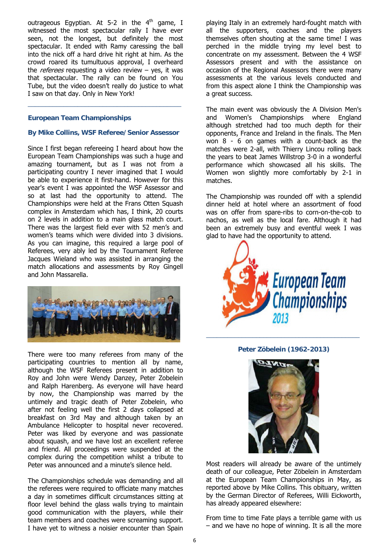outrageous Egyptian. At 5-2 in the  $4<sup>th</sup>$  game, I witnessed the most spectacular rally I have ever seen, not the longest, but definitely the most spectacular. It ended with Ramy caressing the ball into the nick off a hard drive hit right at him. As the crowd roared its tumultuous approval, I overheard the *referees* requesting a video review  $-$  yes, it was that spectacular. The rally can be found on You Tube, but the video doesn't really do justice to what I saw on that day. Only in New York!

#### **European Team Championships**

#### **By Mike Collins, WSF Referee/Senior Assessor**

\_\_\_\_\_\_\_\_\_\_\_\_\_\_\_\_\_\_\_\_\_\_\_\_\_\_\_\_\_\_\_\_\_\_\_\_\_\_\_\_\_\_\_

Since I first began refereeing I heard about how the European Team Championships was such a huge and amazing tournament, but as I was not from a participating country I never imagined that I would be able to experience it first-hand. However for this year's event I was appointed the WSF Assessor and so at last had the opportunity to attend. The Championships were held at the Frans Otten Squash complex in Amsterdam which has, I think, 20 courts on 2 levels in addition to a main glass match court. There was the largest field ever with 52 men's and women's teams which were divided into 3 divisions. As you can imagine, this required a large pool of Referees, very ably led by the Tournament Referee Jacques Wieland who was assisted in arranging the match allocations and assessments by Roy Gingell and John Massarella.



There were too many referees from many of the participating countries to mention all by name, although the WSF Referees present in addition to Roy and John were Wendy Danzey, Peter Zobelein and Ralph Harenberg. As everyone will have heard by now, the Championship was marred by the untimely and tragic death of Peter Zobelein, who after not feeling well the first 2 days collapsed at breakfast on 3rd May and although taken by an Ambulance Helicopter to hospital never recovered. Peter was liked by everyone and was passionate about squash, and we have lost an excellent referee and friend. All proceedings were suspended at the complex during the competition whilst a tribute to Peter was announced and a minute's silence held.

The Championships schedule was demanding and all the referees were required to officiate many matches a day in sometimes difficult circumstances sitting at floor level behind the glass walls trying to maintain good communication with the players, while their team members and coaches were screaming support. I have yet to witness a noisier encounter than Spain

playing Italy in an extremely hard-fought match with all the supporters, coaches and the players themselves often shouting at the same time! I was perched in the middle trying my level best to concentrate on my assessment. Between the 4 WSF Assessors present and with the assistance on occasion of the Regional Assessors there were many assessments at the various levels conducted and from this aspect alone I think the Championship was a great success.

The main event was obviously the A Division Men's and Women's Championships where England although stretched had too much depth for their opponents, France and Ireland in the finals. The Men won 8 - 6 on games with a count-back as the matches were 2-all, with Thierry Lincou rolling back the years to beat James Willstrop 3-0 in a wonderful performance which showcased all his skills. The Women won slightly more comfortably by 2-1 in matches.

The Championship was rounded off with a splendid dinner held at hotel where an assortment of food was on offer from spare-ribs to corn-on-the-cob to nachos, as well as the local fare. Although it had been an extremely busy and eventful week I was glad to have had the opportunity to attend.



# **Peter Zöbelein (1962-2013)**

\_\_\_\_\_\_\_\_\_\_\_\_\_\_\_\_\_\_\_\_\_\_\_\_\_\_\_\_\_\_\_\_\_\_\_\_\_\_\_\_\_\_\_



Most readers will already be aware of the untimely death of our colleague, Peter Zöbelein in Amsterdam at the European Team Championships in May, as reported above by Mike Collins. This obituary, written by the German Director of Referees, Willi Eickworth, has already appeared elsewhere:

From time to time Fate plays a terrible game with us – and we have no hope of winning. It is all the more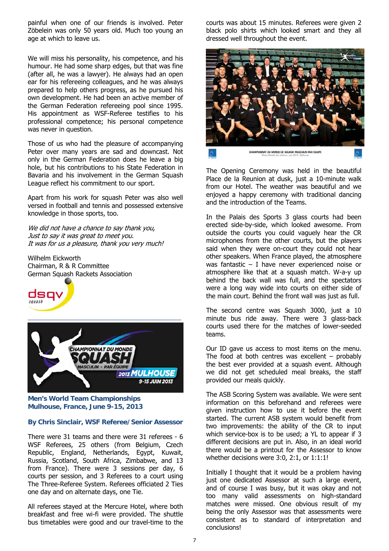painful when one of our friends is involved. Peter Zöbelein was only 50 years old. Much too young an age at which to leave us.

We will miss his personality, his competence, and his humour. He had some sharp edges, but that was fine (after all, he was a lawyer). He always had an open ear for his refereeing colleagues, and he was always prepared to help others progress, as he pursued his own development. He had been an active member of the German Federation refereeing pool since 1995. His appointment as WSF-Referee testifies to his professional competence; his personal competence was never in question.

Those of us who had the pleasure of accompanying Peter over many years are sad and downcast. Not only in the German Federation does he leave a big hole, but his contributions to his State Federation in Bavaria and his involvement in the German Squash League reflect his commitment to our sport.

Apart from his work for squash Peter was also well versed in football and tennis and possessed extensive knowledge in those sports, too.

We did not have a chance to say thank you, Just to say it was great to meet you. It was for us a pleasure, thank you very much!

Wilhelm Eickworth Chairman, R & R Committee German Squash Rackets Association





**Men's World Team Championships Mulhouse, France, June 9-15, 2013** 

#### **By Chris Sinclair, WSF Referee/Senior Assessor**

There were 31 teams and there were 31 referees - 6 WSF Referees, 25 others (from Belgium, Czech Republic, England, Netherlands, Egypt, Kuwait, Russia, Scotland, South Africa, Zimbabwe, and 13 from France). There were 3 sessions per day, 6 courts per session, and 3 Referees to a court using The Three-Referee System. Referees officiated 2 Ties one day and on alternate days, one Tie.

All referees stayed at the Mercure Hotel, where both breakfast and free wi-fi were provided. The shuttle bus timetables were good and our travel-time to the courts was about 15 minutes. Referees were given 2 black polo shirts which looked smart and they all dressed well throughout the event.



The Opening Ceremony was held in the beautiful Place de la Reunion at dusk, just a 10-minute walk from our Hotel. The weather was beautiful and we enjoyed a happy ceremony with traditional dancing and the introduction of the Teams.

In the Palais des Sports 3 glass courts had been erected side-by-side, which looked awesome. From outside the courts you could vaguely hear the CR microphones from the other courts, but the players said when they were on-court they could not hear other speakers. When France played, the atmosphere was fantastic – I have never experienced noise or atmosphere like that at a squash match. W-a-y up behind the back wall was full, and the spectators were a long way wide into courts on either side of the main court. Behind the front wall was just as full.

The second centre was Squash 3000, just a 10 minute bus ride away. There were 3 glass-back courts used there for the matches of lower-seeded teams.

Our ID gave us access to most items on the menu. The food at both centres was excellent  $-$  probably the best ever provided at a squash event. Although we did not get scheduled meal breaks, the staff provided our meals quickly.

The ASB Scoring System was available. We were sent information on this beforehand and referees were given instruction how to use it before the event started. The current ASB system would benefit from two improvements: the ability of the CR to input which service-box is to be used; a YL to appear if 3 different decisions are put in. Also, in an ideal world there would be a printout for the Assessor to know whether decisions were 3:0, 2:1, or 1:1:1!

Initially I thought that it would be a problem having just one dedicated Assessor at such a large event, and of course I was busy, but it was okay and not too many valid assessments on high-standard matches were missed. One obvious result of my being the only Assessor was that assessments were consistent as to standard of interpretation and conclusions!